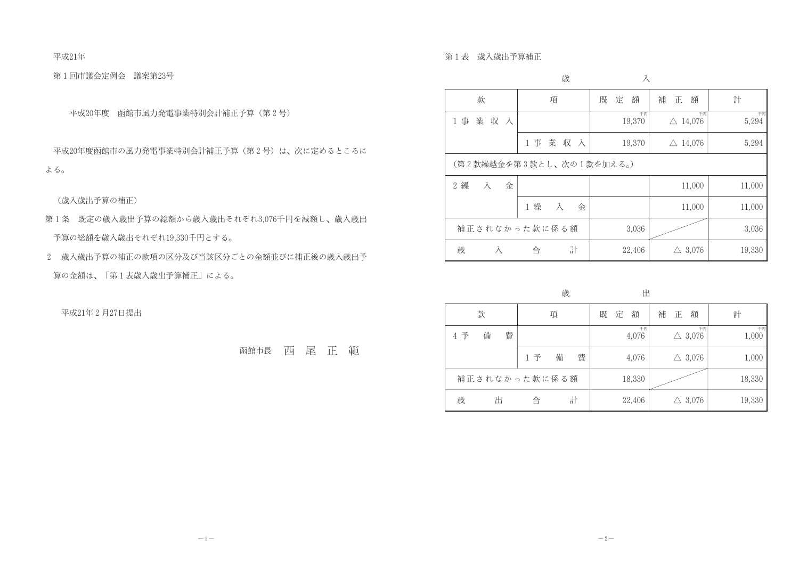平成21年

第1回市議会定例会 議案第23号

平成20年度 函館市風力発電事業特別会計補正予算(第2号)

平成20年度函館市の風力発電事業特別会計補正予算(第2号)は、次に定めるところに よる。

(歳入歳出予算の補正)

- 第1条 既定の歳入歳出予算の総額から歳入歳出それぞれ3.076千円を減額し、歳入歳出 予算の総額を歳入歳出それぞれ19,330千円とする。
- 2 歳入歳出予算の補正の款項の区分及び当該区分ごとの金額並びに補正後の歳入歳出予 算の金額は、「第1表歳入歳出予算補正」による。

平成21年2月27日提出

函館市長西尾正範

第1表 歲入歲出予算補正

|                                    | 歳                        | 入            |                          |             |
|------------------------------------|--------------------------|--------------|--------------------------|-------------|
| 款                                  | 項                        | 額<br>既<br>定  | 補<br>額<br>正              | 計           |
| 業収入<br>1 事                         |                          | 千円<br>19,370 | 千円<br>$\triangle$ 14,076 | 千円<br>5,294 |
|                                    | 1事業収入                    | 19,370       | $\triangle$ 14,076       | 5,294       |
|                                    | (第2款繰越金を第3款とし、次の1款を加える。) |              |                          |             |
| 繰<br>$2^{\circ}$<br>$\lambda$<br>金 |                          |              | 11,000                   | 11,000      |
|                                    | 1 繰<br>入<br>金            |              | 11,000                   | 11,000      |
|                                    | 補正されなかった款に係る額            | 3,036        |                          | 3,036       |
| 歳<br>Ā                             | 計<br>合                   | 22,406       | $\triangle$ 3,076        | 19,330      |

歳

|     | 款      |               | 項 |   |  | 定 | 額           | 補 | 正 | 額                       | 計           |
|-----|--------|---------------|---|---|--|---|-------------|---|---|-------------------------|-------------|
| 4 予 | 備<br>費 |               |   |   |  |   | 千円<br>4,076 |   |   | 千円<br>$\triangle$ 3,076 | 千円<br>1,000 |
|     |        | 1 予           | 備 | 費 |  |   | 4,076       |   |   | $\triangle$ 3,076       | 1,000       |
|     |        | 補正されなかった款に係る額 |   |   |  |   | 18,330      |   |   |                         | 18,330      |
| 歳   |        | 合             |   | 計 |  |   | 22,406      |   |   | $\triangle$ 3,076       | 19,330      |

崇

出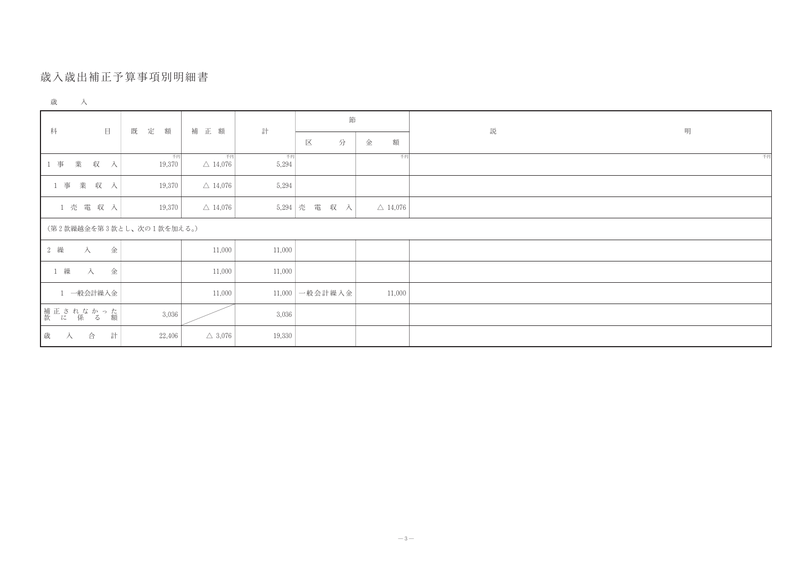## 歲入歲出補正予算事項別明細書

| 歳 | ÷ |  |  |
|---|---|--|--|
|---|---|--|--|

| $\quad \qquad \Box$<br>科 | 既<br>定<br>額  | 補 正 額                    | 計           | 節             |                    | 説 | 明  |
|--------------------------|--------------|--------------------------|-------------|---------------|--------------------|---|----|
|                          |              |                          |             | 分<br>区        | 額<br>金             |   |    |
| 業 収 入<br>1 事             | 千円<br>19,370 | 千円<br>$\triangle$ 14,076 | 千円<br>5,294 |               | 千円                 |   | 千円 |
| 1 事 業 収 入                | 19,370       | $\triangle$ 14,076       | 5,294       |               |                    |   |    |
| 1 壳 電 収 入                | 19,370       | $\triangle$ 14,076       |             | 5,294 壳 電 収 入 | $\triangle$ 14,076 |   |    |
| (第2款繰越金を第3款とし、次の1款を加える。) |              |                          |             |               |                    |   |    |
| 2 繰<br>金<br>入            |              | 11,000                   | 11,000      |               |                    |   |    |
| 1 繰 入<br>金               |              | 11,000                   | 11,000      |               |                    |   |    |
| 1 一般会計繰入金                |              | 11,000                   | 11,000      | 一般会計繰入金       | 11,000             |   |    |
| 補正されなかった<br> 款 に 係 る 額   | 3,036        |                          | 3,036       |               |                    |   |    |
| 計<br>歳 入 合               | 22,406       | $\triangle$ 3,076        | 19,330      |               |                    |   |    |